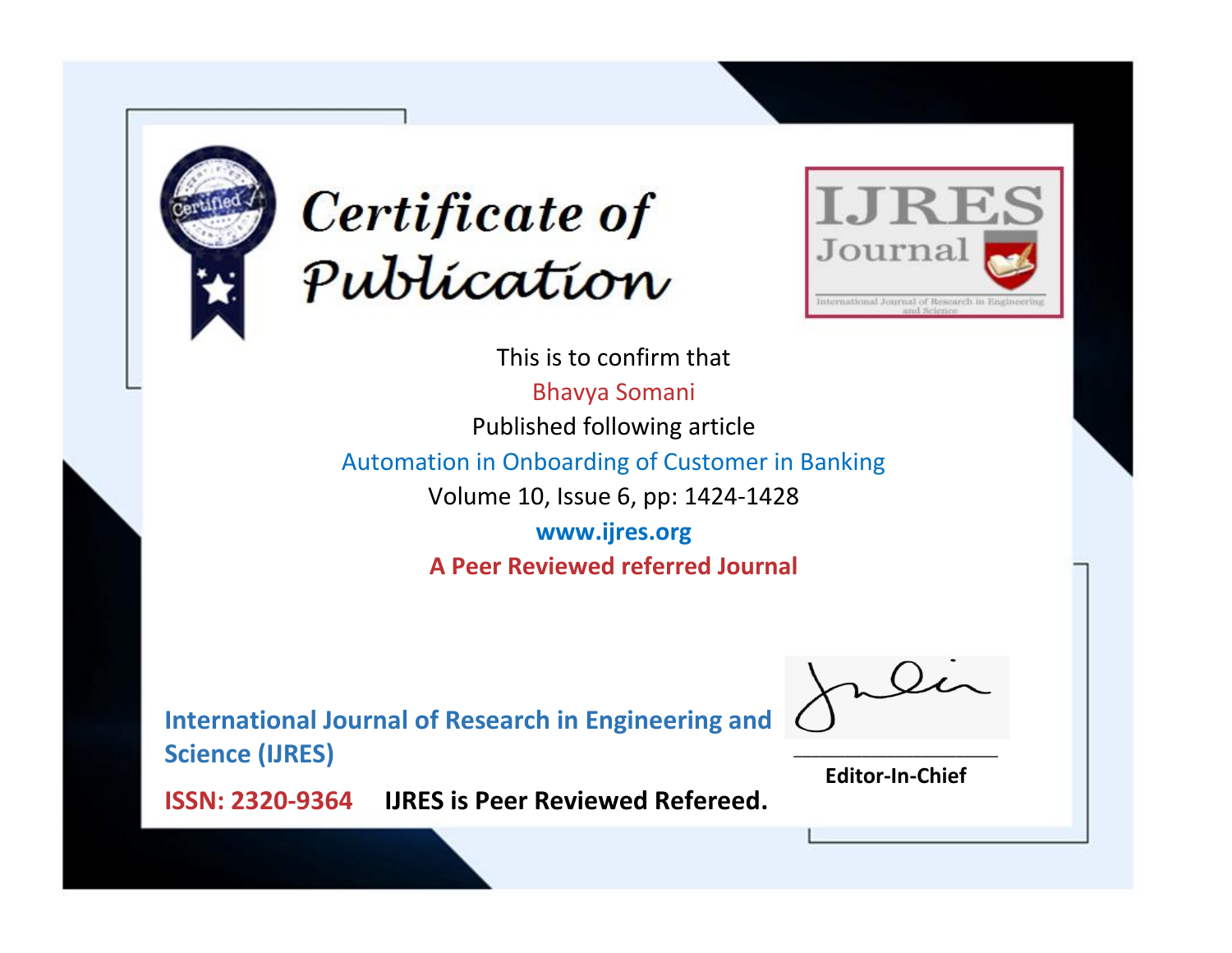



This is to confirm that Bhavya Somani Published following article Automation in Onboarding of Customer in Banking Volume 10, Issue 6, pp: 1424-1428 **www.ijres.org A Peer Reviewed referred Journal**

**International Journal of Research in Engineering and Science (IJRES)**

\_\_\_\_\_\_\_\_\_\_\_\_\_\_\_\_\_\_\_\_\_\_\_\_ **Editor-In-Chief**

**Journal.**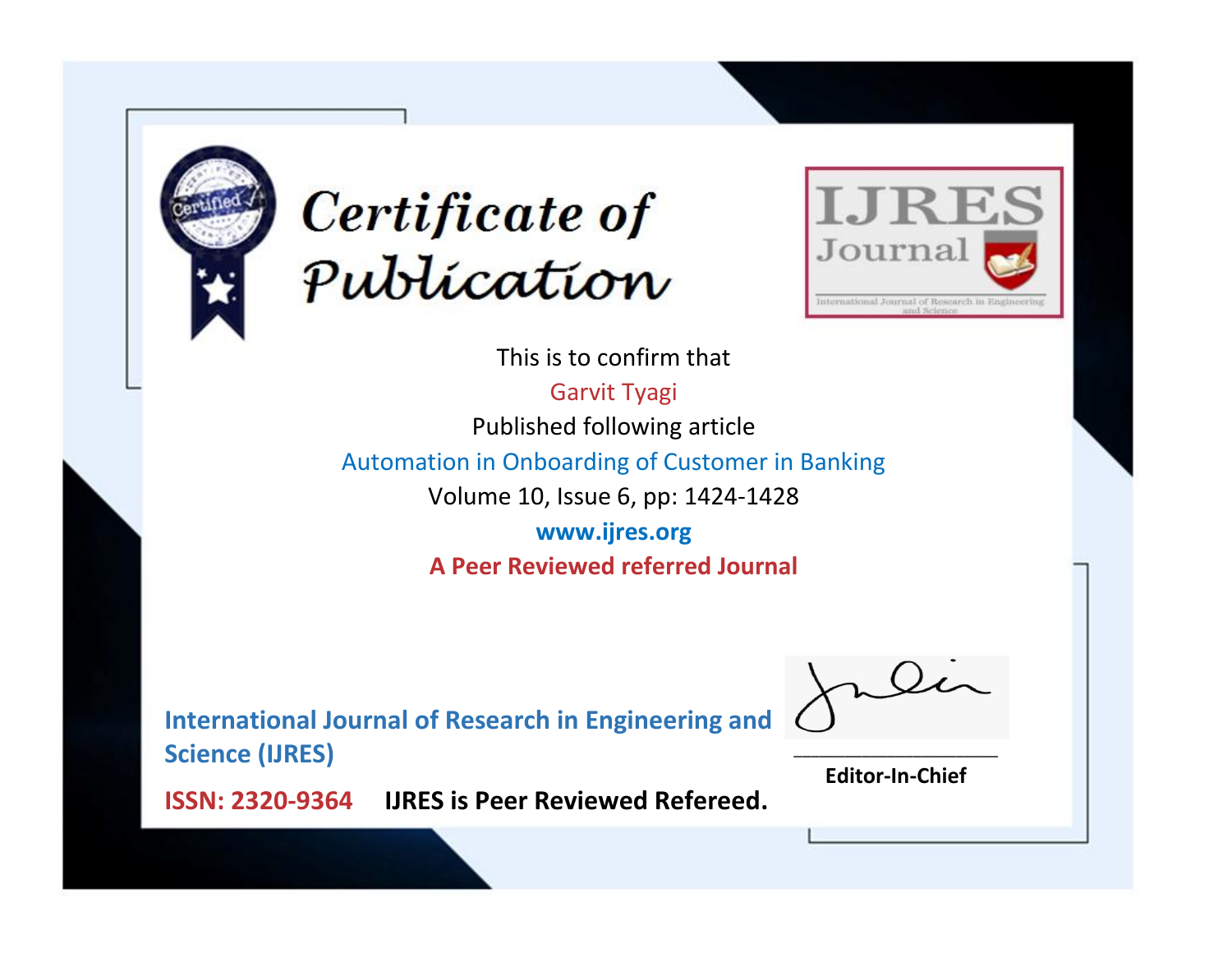



This is to confirm that Garvit Tyagi

Published following article

Automation in Onboarding of Customer in Banking

Volume 10, Issue 6, pp: 1424-1428

**www.ijres.org A Peer Reviewed referred Journal**

**International Journal of Research in Engineering and Science (IJRES)**

\_\_\_\_\_\_\_\_\_\_\_\_\_\_\_\_\_\_\_\_\_\_\_\_ **Editor-In-Chief**

**Journal.**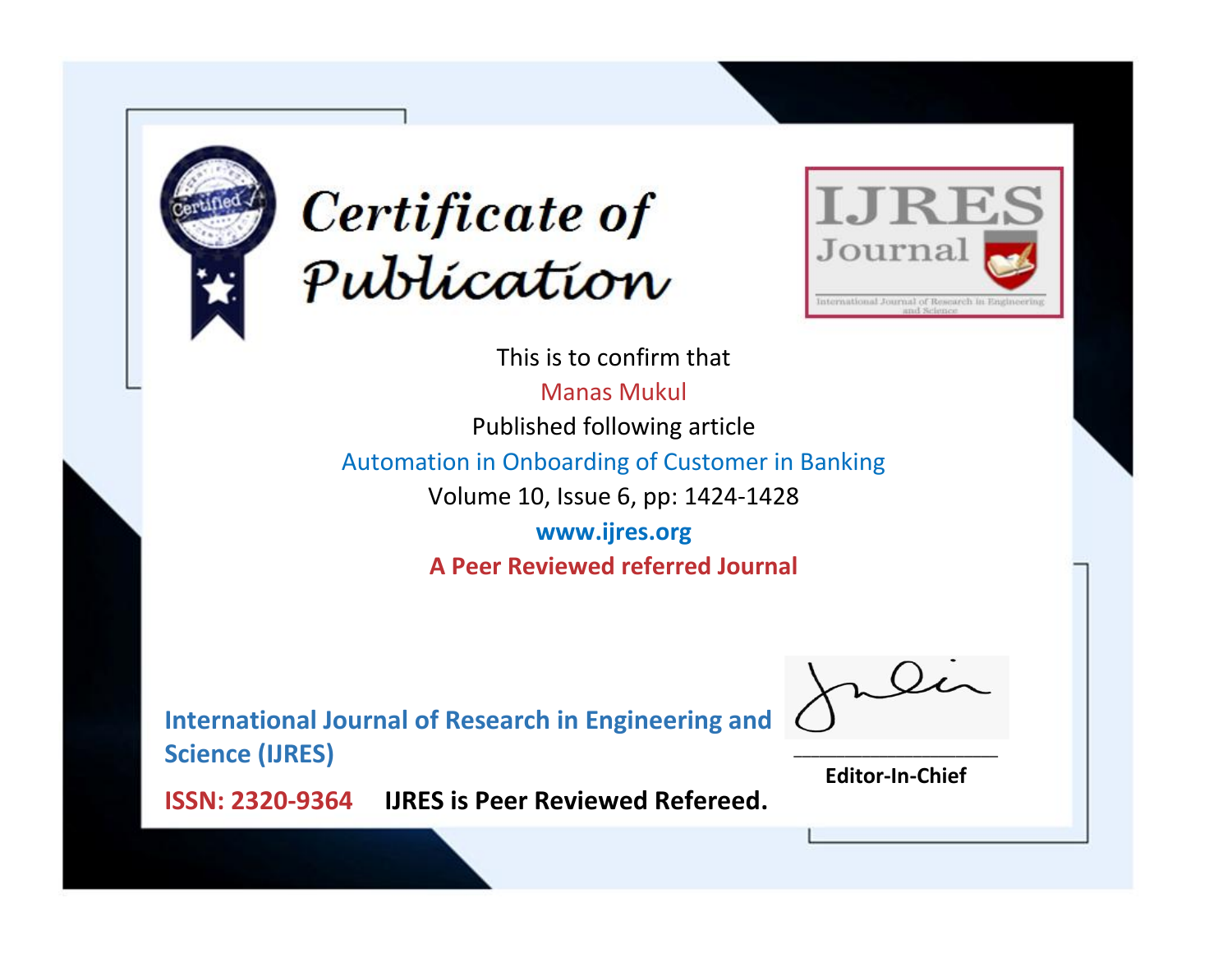



This is to confirm that

Manas Mukul

Published following article

Automation in Onboarding of Customer in Banking

Volume 10, Issue 6, pp: 1424-1428

**www.ijres.org A Peer Reviewed referred Journal**

**International Journal of Research in Engineering and Science (IJRES)**

\_\_\_\_\_\_\_\_\_\_\_\_\_\_\_\_\_\_\_\_\_\_\_\_ **Editor-In-Chief**

**Journal.**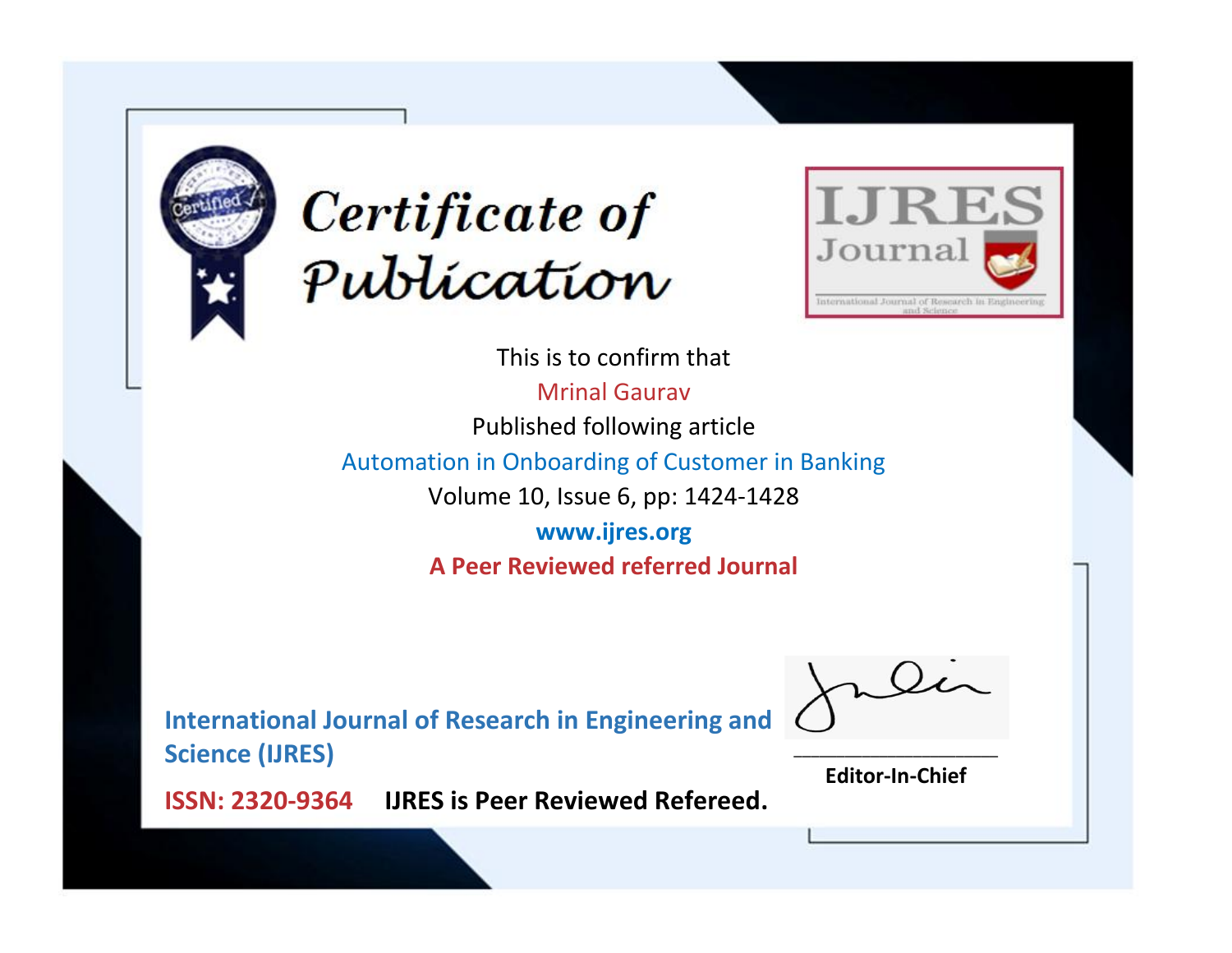



This is to confirm that Mrinal Gaurav Published following article Automation in Onboarding of Customer in Banking Volume 10, Issue 6, pp: 1424-1428 **www.ijres.org A Peer Reviewed referred Journal**

**International Journal of Research in Engineering and Science (IJRES)**

\_\_\_\_\_\_\_\_\_\_\_\_\_\_\_\_\_\_\_\_\_\_\_\_ **Editor-In-Chief**

**Journal.**